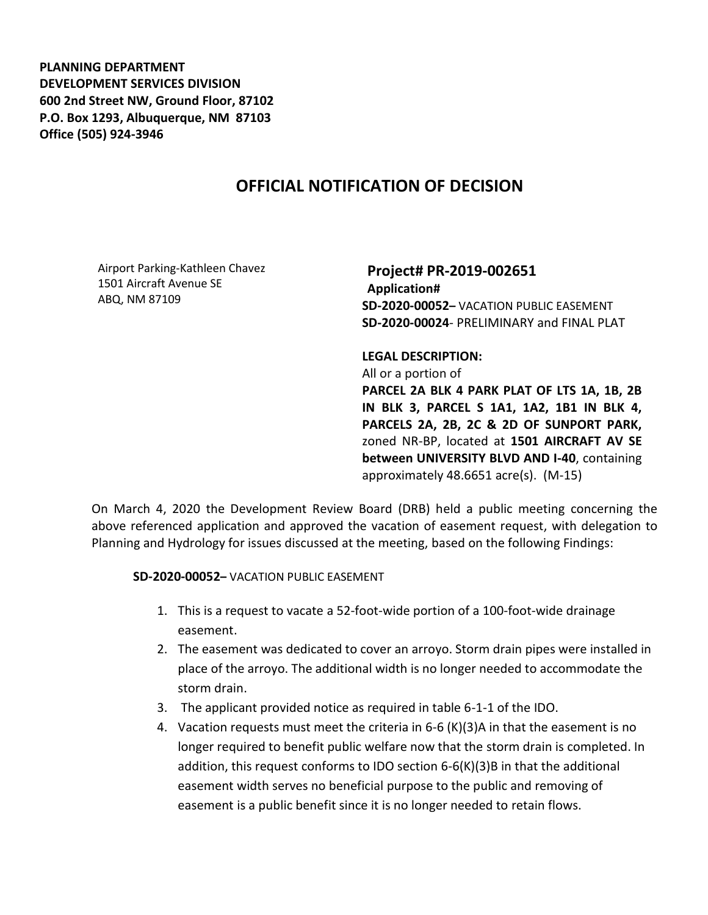**PLANNING DEPARTMENT DEVELOPMENT SERVICES DIVISION 600 2nd Street NW, Ground Floor, 87102 P.O. Box 1293, Albuquerque, NM 87103 Office (505) 924-3946** 

## **OFFICIAL NOTIFICATION OF DECISION**

Airport Parking-Kathleen Chavez 1501 Aircraft Avenue SE ABQ, NM 87109

**Project# PR-2019-002651 Application# SD-2020-00052–** VACATION PUBLIC EASEMENT **SD-2020-00024**- PRELIMINARY and FINAL PLAT

**LEGAL DESCRIPTION:** All or a portion of **PARCEL 2A BLK 4 PARK PLAT OF LTS 1A, 1B, 2B IN BLK 3, PARCEL S 1A1, 1A2, 1B1 IN BLK 4, PARCELS 2A, 2B, 2C & 2D OF SUNPORT PARK,**  zoned NR-BP, located at **1501 AIRCRAFT AV SE between UNIVERSITY BLVD AND I-40**, containing approximately 48.6651 acre(s). (M-15)

On March 4, 2020 the Development Review Board (DRB) held a public meeting concerning the above referenced application and approved the vacation of easement request, with delegation to Planning and Hydrology for issues discussed at the meeting, based on the following Findings:

**SD-2020-00052–** VACATION PUBLIC EASEMENT

- 1. This is a request to vacate a 52-foot-wide portion of a 100-foot-wide drainage easement.
- 2. The easement was dedicated to cover an arroyo. Storm drain pipes were installed in place of the arroyo. The additional width is no longer needed to accommodate the storm drain.
- 3. The applicant provided notice as required in table 6-1-1 of the IDO.
- 4. Vacation requests must meet the criteria in 6-6 (K)(3)A in that the easement is no longer required to benefit public welfare now that the storm drain is completed. In addition, this request conforms to IDO section  $6-6(K)(3)B$  in that the additional easement width serves no beneficial purpose to the public and removing of easement is a public benefit since it is no longer needed to retain flows.